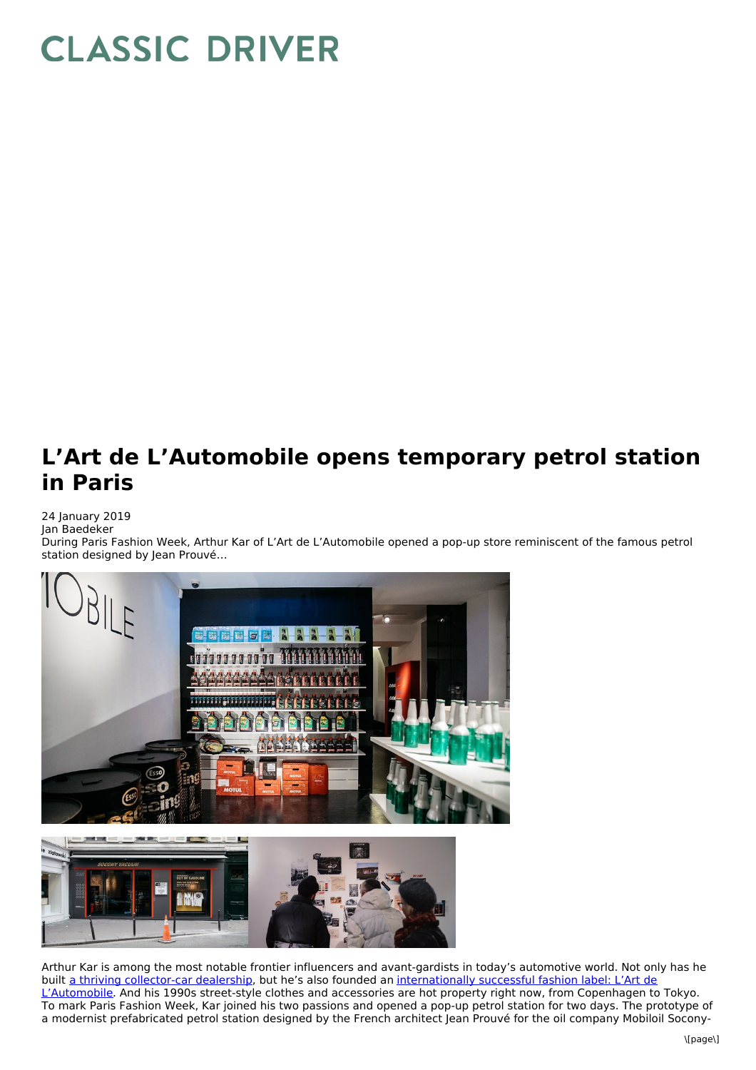## **CLASSIC DRIVER**

## **L'Art de L'Automobile opens temporary petrol station in Paris**

## 24 January 2019

Jan Baedeker

During Paris Fashion Week, Arthur Kar of L'Art de L'Automobile opened a pop-up store reminiscent of the famous petrol station designed by Jean Prouvé…



Arthur Kar is among the most notable frontier influencers and avant-gardists in today's automotive world. Not only has he built a thriving [collector-car](https://www.classicdriver.com/en/article/cars/breaking-barriers-collector-car-world-lart-de-lautomobile) dealership, but he's also founded an [internationally](https://www.classicdriver.com/en/article/fashion-accessories/lart-de-lautomobile-bringing-prototypes-back-street) successful fashion label: L'Art de L'Automobile. And his 1990s street-style clothes and accessories are hot property right now, from Copenhagen to Tokyo. To mark Paris Fashion Week, Kar joined his two passions and opened a pop-up petrol station for two days. The prototype of a modernist prefabricated petrol station designed by the French architect Jean Prouvé for the oil company Mobiloil Socony-